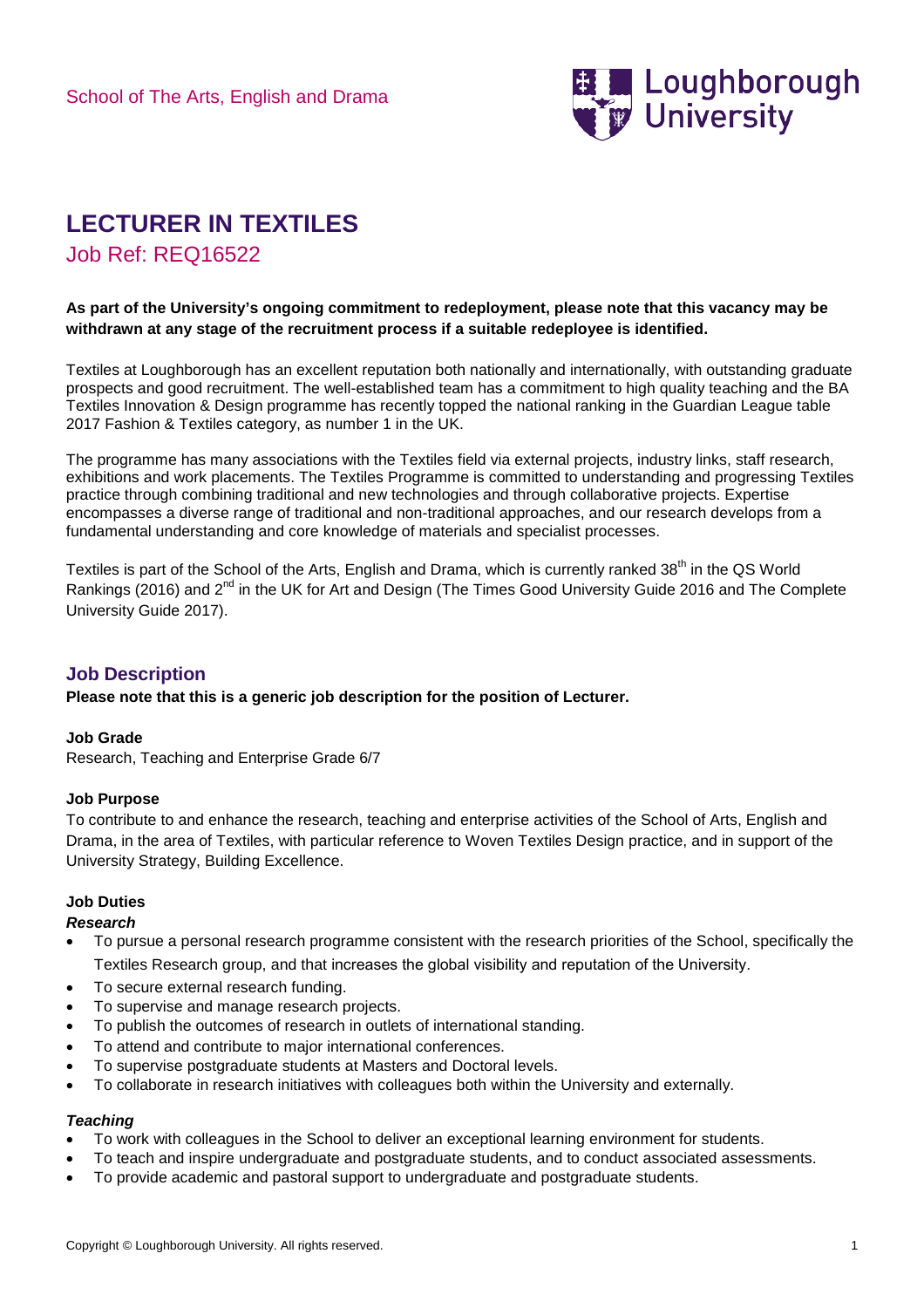

# **LECTURER IN TEXTILES**

Job Ref: REQ16522

## **As part of the University's ongoing commitment to redeployment, please note that this vacancy may be withdrawn at any stage of the recruitment process if a suitable redeployee is identified.**

Textiles at Loughborough has an excellent reputation both nationally and internationally, with outstanding graduate prospects and good recruitment. The well-established team has a commitment to high quality teaching and the BA Textiles Innovation & Design programme has recently topped the national ranking in the Guardian League table 2017 Fashion & Textiles category, as number 1 in the UK.

The programme has many associations with the Textiles field via external projects, industry links, staff research, exhibitions and work placements. The Textiles Programme is committed to understanding and progressing Textiles practice through combining traditional and new technologies and through collaborative projects. Expertise encompasses a diverse range of traditional and non-traditional approaches, and our research develops from a fundamental understanding and core knowledge of materials and specialist processes.

Textiles is part of the School of the Arts, English and Drama, which is currently ranked 38<sup>th</sup> in the QS World Rankings (2016) and 2<sup>nd</sup> in the UK for Art and Design (The Times Good University Guide 2016 and The Complete University Guide 2017).

# **Job Description**

**Please note that this is a generic job description for the position of Lecturer.**

## **Job Grade**

Research, Teaching and Enterprise Grade 6/7

## **Job Purpose**

To contribute to and enhance the research, teaching and enterprise activities of the School of Arts, English and Drama, in the area of Textiles, with particular reference to Woven Textiles Design practice, and in support of the University Strategy, Building Excellence.

## **Job Duties**

## *Research*

- To pursue a personal research programme consistent with the research priorities of the School, specifically the Textiles Research group, and that increases the global visibility and reputation of the University.
- To secure external research funding.
- To supervise and manage research projects.
- To publish the outcomes of research in outlets of international standing.
- To attend and contribute to major international conferences.
- To supervise postgraduate students at Masters and Doctoral levels.
- To collaborate in research initiatives with colleagues both within the University and externally.

#### *Teaching*

- To work with colleagues in the School to deliver an exceptional learning environment for students.
- To teach and inspire undergraduate and postgraduate students, and to conduct associated assessments.
- To provide academic and pastoral support to undergraduate and postgraduate students.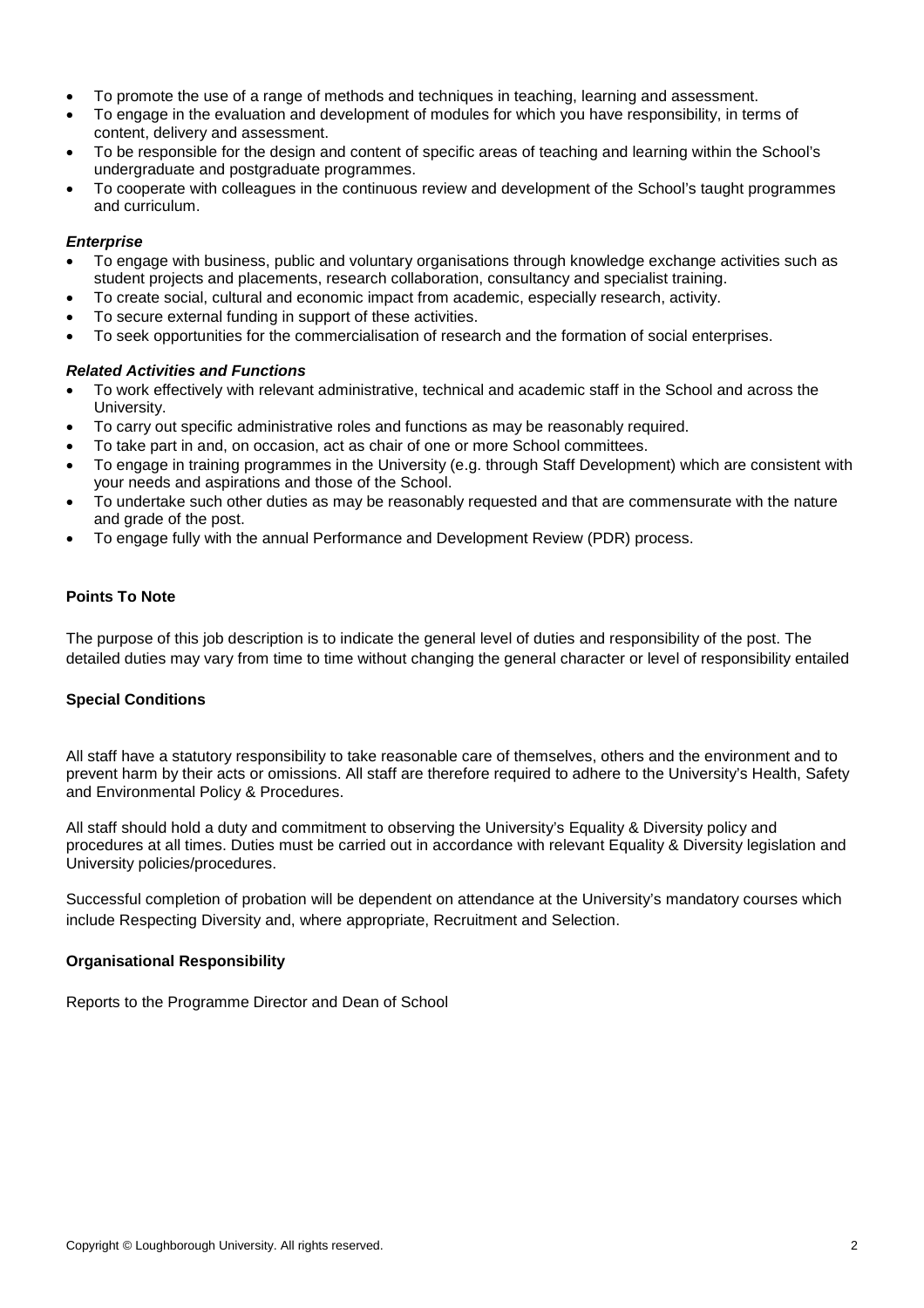- To promote the use of a range of methods and techniques in teaching, learning and assessment.
- To engage in the evaluation and development of modules for which you have responsibility, in terms of content, delivery and assessment.
- To be responsible for the design and content of specific areas of teaching and learning within the School's undergraduate and postgraduate programmes.
- To cooperate with colleagues in the continuous review and development of the School's taught programmes and curriculum.

#### *Enterprise*

- To engage with business, public and voluntary organisations through knowledge exchange activities such as student projects and placements, research collaboration, consultancy and specialist training.
- To create social, cultural and economic impact from academic, especially research, activity.
- To secure external funding in support of these activities.
- To seek opportunities for the commercialisation of research and the formation of social enterprises.

#### *Related Activities and Functions*

- To work effectively with relevant administrative, technical and academic staff in the School and across the University.
- To carry out specific administrative roles and functions as may be reasonably required.
- To take part in and, on occasion, act as chair of one or more School committees.
- To engage in training programmes in the University (e.g. through Staff Development) which are consistent with your needs and aspirations and those of the School.
- To undertake such other duties as may be reasonably requested and that are commensurate with the nature and grade of the post.
- To engage fully with the annual Performance and Development Review (PDR) process.

#### **Points To Note**

The purpose of this job description is to indicate the general level of duties and responsibility of the post. The detailed duties may vary from time to time without changing the general character or level of responsibility entailed

#### **Special Conditions**

All staff have a statutory responsibility to take reasonable care of themselves, others and the environment and to prevent harm by their acts or omissions. All staff are therefore required to adhere to the University's Health, Safety and Environmental Policy & Procedures.

All staff should hold a duty and commitment to observing the University's Equality & Diversity policy and procedures at all times. Duties must be carried out in accordance with relevant Equality & Diversity legislation and University policies/procedures.

Successful completion of probation will be dependent on attendance at the University's mandatory courses which include Respecting Diversity and, where appropriate, Recruitment and Selection.

#### **Organisational Responsibility**

Reports to the Programme Director and Dean of School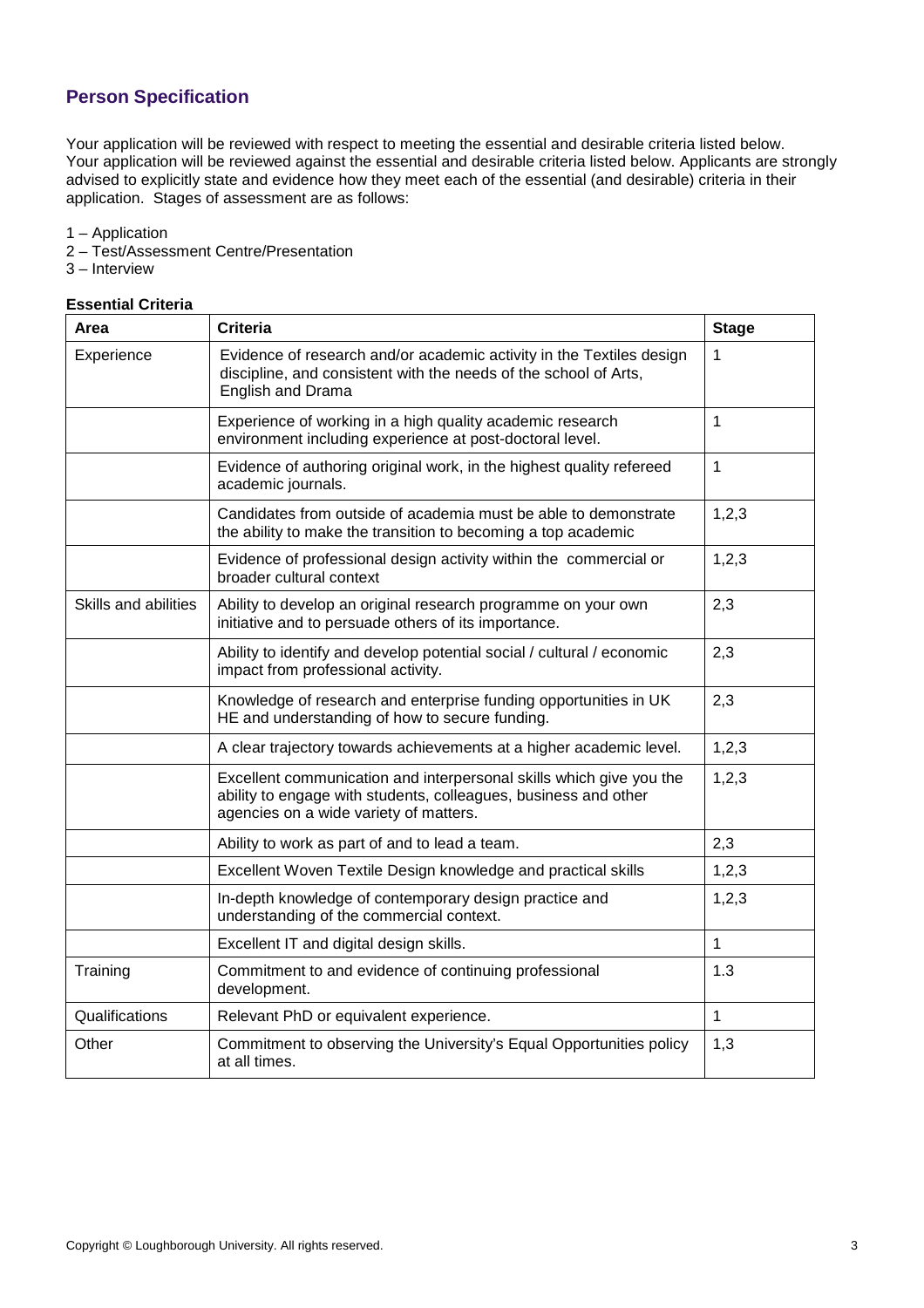# **Person Specification**

Your application will be reviewed with respect to meeting the essential and desirable criteria listed below. Your application will be reviewed against the essential and desirable criteria listed below. Applicants are strongly advised to explicitly state and evidence how they meet each of the essential (and desirable) criteria in their application. Stages of assessment are as follows:

- 1 Application
- 2 Test/Assessment Centre/Presentation
- 3 Interview

## **Essential Criteria**

| Area                 | <b>Criteria</b>                                                                                                                                                                  | <b>Stage</b> |
|----------------------|----------------------------------------------------------------------------------------------------------------------------------------------------------------------------------|--------------|
| Experience           | Evidence of research and/or academic activity in the Textiles design<br>discipline, and consistent with the needs of the school of Arts,<br>English and Drama                    | 1            |
|                      | Experience of working in a high quality academic research<br>environment including experience at post-doctoral level.                                                            | 1            |
|                      | Evidence of authoring original work, in the highest quality refereed<br>academic journals.                                                                                       | $\mathbf{1}$ |
|                      | Candidates from outside of academia must be able to demonstrate<br>the ability to make the transition to becoming a top academic                                                 | 1,2,3        |
|                      | Evidence of professional design activity within the commercial or<br>broader cultural context                                                                                    | 1,2,3        |
| Skills and abilities | Ability to develop an original research programme on your own<br>initiative and to persuade others of its importance.                                                            | 2,3          |
|                      | Ability to identify and develop potential social / cultural / economic<br>impact from professional activity.                                                                     | 2,3          |
|                      | Knowledge of research and enterprise funding opportunities in UK<br>HE and understanding of how to secure funding.                                                               | 2,3          |
|                      | A clear trajectory towards achievements at a higher academic level.                                                                                                              | 1,2,3        |
|                      | Excellent communication and interpersonal skills which give you the<br>ability to engage with students, colleagues, business and other<br>agencies on a wide variety of matters. | 1,2,3        |
|                      | Ability to work as part of and to lead a team.                                                                                                                                   | 2,3          |
|                      | Excellent Woven Textile Design knowledge and practical skills                                                                                                                    | 1,2,3        |
|                      | In-depth knowledge of contemporary design practice and<br>understanding of the commercial context.                                                                               | 1,2,3        |
|                      | Excellent IT and digital design skills.                                                                                                                                          | $\mathbf{1}$ |
| Training             | Commitment to and evidence of continuing professional<br>development.                                                                                                            | 1.3          |
| Qualifications       | Relevant PhD or equivalent experience.                                                                                                                                           | $\mathbf{1}$ |
| Other                | Commitment to observing the University's Equal Opportunities policy<br>at all times.                                                                                             | 1,3          |